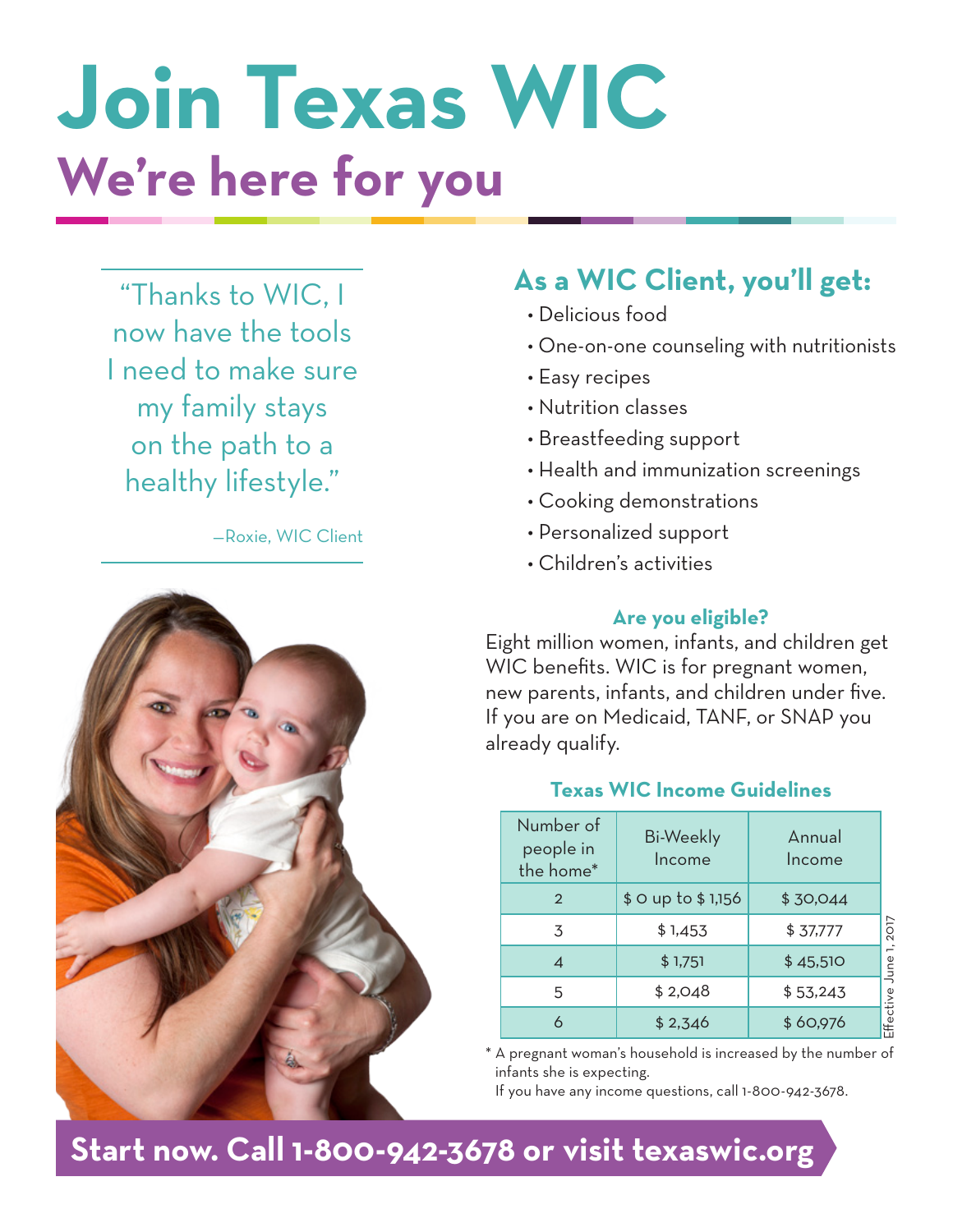# **Join Texas WIC We're here for you**

"Thanks to WIC, I now have the tools I need to make sure my family stays on the path to a healthy lifestyle."

—Roxie, WIC Client



# **As a WIC Client, you'll get:**

- Delicious food
- One-on-one counseling with nutritionists
- Easy recipes
- Nutrition classes
- Breastfeeding support
- Health and immunization screenings
- Cooking demonstrations
- Personalized support
- Children's activities

#### **Are you eligible?**

Eight million women, infants, and children get WIC benefits. WIC is for pregnant women, new parents, infants, and children under five. If you are on Medicaid, TANF, or SNAP you already qualify.

### **Texas WIC Income Guidelines**

| Number of<br>people in<br>the home* | <b>Bi-Weekly</b><br>Income | Annual<br>Income |           |
|-------------------------------------|----------------------------|------------------|-----------|
| $\overline{2}$                      | \$0 up to \$1,156          | \$30,044         |           |
| 3                                   | \$1,453                    | \$37,777         | 2017      |
|                                     | \$1,751                    | \$45,510         | June      |
| 5                                   | \$2,048                    | \$53,243         |           |
|                                     | \$2,346                    | \$60,976         | Effective |

\* A pregnant woman's household is increased by the number of infants she is expecting.

If you have any income questions, call 1-800-942-3678.

# **Start now. Call 1-800-942-3678 or visit texaswic.org**